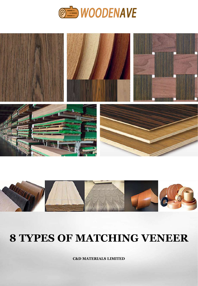





## **8 TYPES OF MATCHING VENEER**

**C&D MATERIALS LIMITED**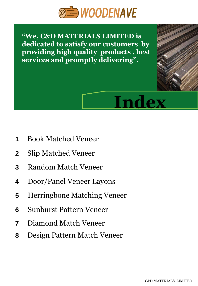

**"We, C&D MATERIALS LIMITED is dedicated to satisfy our customers by providing high quality products , best services and promptly delivering".**

# **Index**

- **1** Book Matched Veneer
- **2** Slip Matched Veneer
- **3** Random Match Veneer
- **4** Door/Panel Veneer Layons
- **5** Herringbone Matching Veneer
- **6** Sunburst Pattern Veneer
- **7** Diamond Match Veneer
- **8** Design Pattern Match Veneer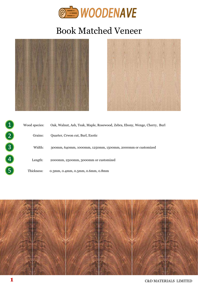

## Book Matched Veneer





|   | Wood species: | Oak, Walnut, Ash, Teak, Maple, Rosewood, Zebra, Ebony, Wenge, Cherry, Burl |
|---|---------------|----------------------------------------------------------------------------|
|   | Grains:       | Quarter, Crwon cut, Burl, Exotic                                           |
|   | Width:        | 300mm, 640mm, 1000mm, 1250mm, 1500mm, 2000mm or customized                 |
| 4 | Length:       | 2000mm, 2500mm, 3000mm or customized                                       |
|   | Thickness:    | $0.3$ mm, $0.4$ mm, $0.5$ mm, $0.6$ mm, $0.8$ mm                           |

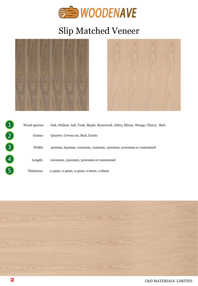

## Slip Matched Veneer





|   | Wood species: | Oak, Walnut, Ash, Teak, Maple, Rosewood, Zebra, Ebony, Wenge, Cherry, Burl |
|---|---------------|----------------------------------------------------------------------------|
|   | Grains:       | Quarter, Crwon cut, Burl, Exotic                                           |
|   | Width:        | 300mm, 640mm, 1000mm, 1250mm, 1500mm, 2000mm or customized                 |
| 4 | Length:       | 2000mm, 2500mm, 3000mm or customized                                       |
|   | Thickness:    | 0.3mm, 0.4mm, 0.5mm, 0.6mm, 0.8mm                                          |

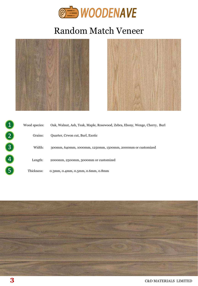

## Random Match Veneer





|   | Wood species: | Oak, Walnut, Ash, Teak, Maple, Rosewood, Zebra, Ebony, Wenge, Cherry, Burl |
|---|---------------|----------------------------------------------------------------------------|
|   | Grains:       | Quarter, Crwon cut, Burl, Exotic                                           |
|   | Width:        | 300mm, 640mm, 1000mm, 1250mm, 1500mm, 2000mm or customized                 |
| 4 | Length:       | 2000mm, 2500mm, 3000mm or customized                                       |
|   | Thickness:    | $0.3$ mm, $0.4$ mm, $0.5$ mm, $0.6$ mm, $0.8$ mm                           |

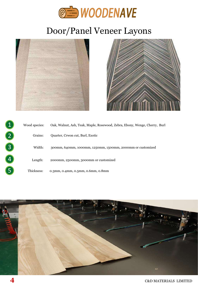

## Door/Panel Veneer Layons





|   | Wood species: | Oak, Walnut, Ash, Teak, Maple, Rosewood, Zebra, Ebony, Wenge, Cherry, Burl |
|---|---------------|----------------------------------------------------------------------------|
|   | Grains:       | Quarter, Crwon cut, Burl, Exotic                                           |
| 3 | Width:        | 300mm, 640mm, 1000mm, 1250mm, 1500mm, 2000mm or customized                 |
| 4 | Length:       | 2000mm, 2500mm, 3000mm or customized                                       |
|   | Thickness:    | 0.3mm, 0.4mm, 0.5mm, 0.6mm, 0.8mm                                          |

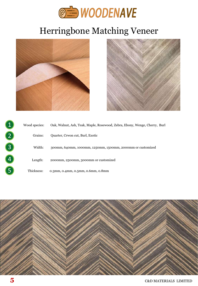

## Herringbone Matching Veneer





|   | Wood species: | Oak, Walnut, Ash, Teak, Maple, Rosewood, Zebra, Ebony, Wenge, Cherry, Burl |
|---|---------------|----------------------------------------------------------------------------|
|   | Grains:       | Quarter, Crwon cut, Burl, Exotic                                           |
|   | Width:        | 300mm, 640mm, 1000mm, 1250mm, 1500mm, 2000mm or customized                 |
| 4 | Length:       | 2000mm, 2500mm, 3000mm or customized                                       |
|   | Thickness:    | $0.3$ mm, $0.4$ mm, $0.5$ mm, $0.6$ mm, $0.8$ mm                           |

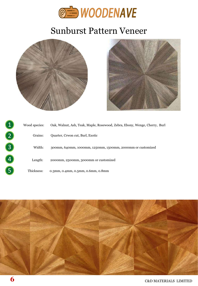

#### Sunburst Pattern Veneer





|   | Wood species: | Oak, Walnut, Ash, Teak, Maple, Rosewood, Zebra, Ebony, Wenge, Cherry, Burl |
|---|---------------|----------------------------------------------------------------------------|
|   | Grains:       | Quarter, Crwon cut, Burl, Exotic                                           |
|   | Width:        | 300mm, 640mm, 1000mm, 1250mm, 1500mm, 2000mm or customized                 |
| 4 | Length:       | 2000mm, 2500mm, 3000mm or customized                                       |
|   | Thickness:    | 0.3mm, 0.4mm, 0.5mm, 0.6mm, 0.8mm                                          |

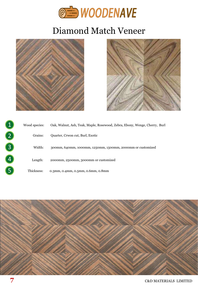

## Diamond Match Veneer





| Wood species: | Oak, Walnut, Ash, Teak, Maple, Rosewood, Zebra, Ebony, Wenge, Cherry, Burl |
|---------------|----------------------------------------------------------------------------|
| Grains:       | Quarter, Crwon cut, Burl, Exotic                                           |
| Width:        | 300mm, 640mm, 1000mm, 1250mm, 1500mm, 2000mm or customized                 |
| Length:       | 2000mm, 2500mm, 3000mm or customized                                       |
| Thickness:    | $0.3$ mm, $0.4$ mm, $0.5$ mm, $0.6$ mm, $0.8$ mm                           |

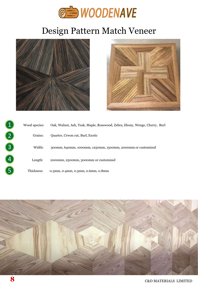

## Design Pattern Match Veneer





| Wood species: | Oak, Walnut, Ash, Teak, Maple, Rosewood, Zebra, Ebony, Wenge, Cherry, Burl |
|---------------|----------------------------------------------------------------------------|
| Grains:       | Quarter, Crwon cut, Burl, Exotic                                           |
| Width:        | 300mm, 640mm, 1000mm, 1250mm, 1500mm, 2000mm or customized                 |
| Length:       | 2000mm, 2500mm, 3000mm or customized                                       |
| Thickness:    | 0.3mm, 0.4mm, 0.5mm, 0.6mm, 0.8mm                                          |